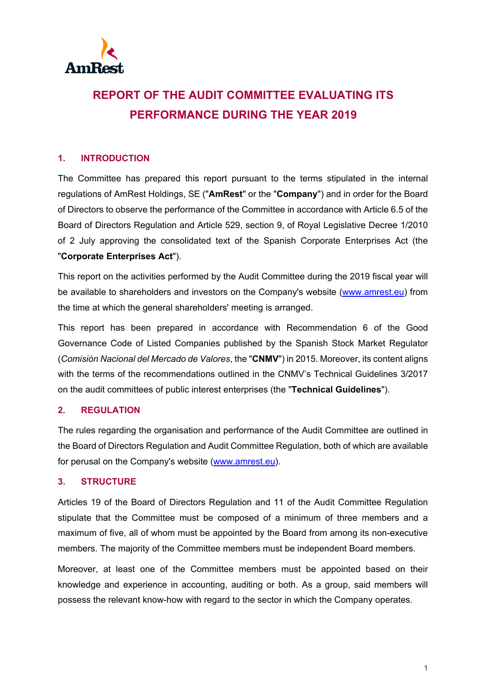

# **REPORT OF THE AUDIT COMMITTEE EVALUATING ITS PERFORMANCE DURING THE YEAR 2019**

## **1. INTRODUCTION**

The Committee has prepared this report pursuant to the terms stipulated in the internal regulations of AmRest Holdings, SE ("**AmRest**" or the "**Company**") and in order for the Board of Directors to observe the performance of the Committee in accordance with Article 6.5 of the Board of Directors Regulation and Article 529, section 9, of Royal Legislative Decree 1/2010 of 2 July approving the consolidated text of the Spanish Corporate Enterprises Act (the "**Corporate Enterprises Act**").

This report on the activities performed by the Audit Committee during the 2019 fiscal year will be available to shareholders and investors on the Company's website [\(www.amrest.eu\)](http://www.amrest.eu/) from the time at which the general shareholders' meeting is arranged.

This report has been prepared in accordance with Recommendation 6 of the Good Governance Code of Listed Companies published by the Spanish Stock Market Regulator (*Comisión Nacional del Mercado de Valores*, the "**CNMV**") in 2015. Moreover, its content aligns with the terms of the recommendations outlined in the CNMV's Technical Guidelines 3/2017 on the audit committees of public interest enterprises (the "**Technical Guidelines**").

#### **2. REGULATION**

The rules regarding the organisation and performance of the Audit Committee are outlined in the Board of Directors Regulation and Audit Committee Regulation, both of which are available for perusal on the Company's website [\(www.amrest.eu\)](http://www.amrest.eu/).

## **3. STRUCTURE**

Articles 19 of the Board of Directors Regulation and 11 of the Audit Committee Regulation stipulate that the Committee must be composed of a minimum of three members and a maximum of five, all of whom must be appointed by the Board from among its non-executive members. The majority of the Committee members must be independent Board members.

Moreover, at least one of the Committee members must be appointed based on their knowledge and experience in accounting, auditing or both. As a group, said members will possess the relevant know-how with regard to the sector in which the Company operates.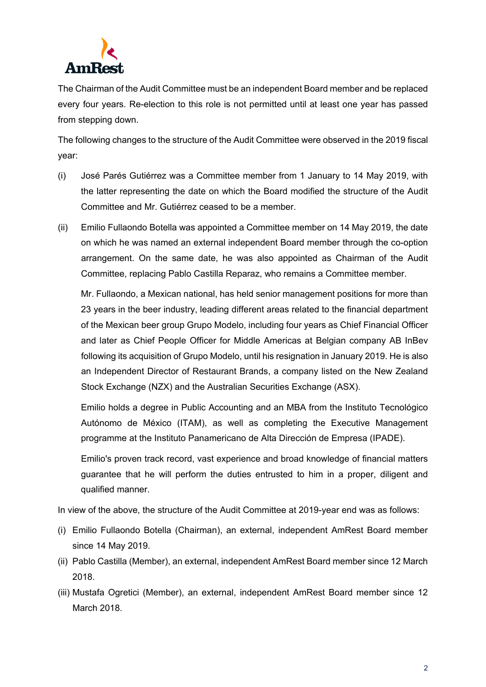

The Chairman of the Audit Committee must be an independent Board member and be replaced every four years. Re-election to this role is not permitted until at least one year has passed from stepping down.

The following changes to the structure of the Audit Committee were observed in the 2019 fiscal year:

- (i) José Parés Gutiérrez was a Committee member from 1 January to 14 May 2019, with the latter representing the date on which the Board modified the structure of the Audit Committee and Mr. Gutiérrez ceased to be a member.
- (ii) Emilio Fullaondo Botella was appointed a Committee member on 14 May 2019, the date on which he was named an external independent Board member through the co-option arrangement. On the same date, he was also appointed as Chairman of the Audit Committee, replacing Pablo Castilla Reparaz, who remains a Committee member.

Mr. Fullaondo, a Mexican national, has held senior management positions for more than 23 years in the beer industry, leading different areas related to the financial department of the Mexican beer group Grupo Modelo, including four years as Chief Financial Officer and later as Chief People Officer for Middle Americas at Belgian company AB InBev following its acquisition of Grupo Modelo, until his resignation in January 2019. He is also an Independent Director of Restaurant Brands, a company listed on the New Zealand Stock Exchange (NZX) and the Australian Securities Exchange (ASX).

Emilio holds a degree in Public Accounting and an MBA from the Instituto Tecnológico Autónomo de México (ITAM), as well as completing the Executive Management programme at the Instituto Panamericano de Alta Dirección de Empresa (IPADE).

Emilio's proven track record, vast experience and broad knowledge of financial matters guarantee that he will perform the duties entrusted to him in a proper, diligent and qualified manner.

In view of the above, the structure of the Audit Committee at 2019-year end was as follows:

- (i) Emilio Fullaondo Botella (Chairman), an external, independent AmRest Board member since 14 May 2019.
- (ii) Pablo Castilla (Member), an external, independent AmRest Board member since 12 March 2018.
- (iii) Mustafa Ogretici (Member), an external, independent AmRest Board member since 12 March 2018.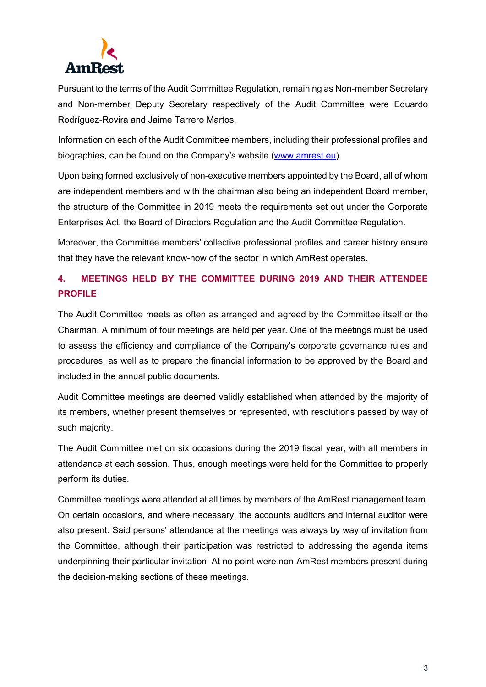

Pursuant to the terms of the Audit Committee Regulation, remaining as Non-member Secretary and Non-member Deputy Secretary respectively of the Audit Committee were Eduardo Rodríguez-Rovira and Jaime Tarrero Martos.

Information on each of the Audit Committee members, including their professional profiles and biographies, can be found on the Company's website [\(www.amrest.eu\)](http://www.amrest.eu/).

Upon being formed exclusively of non-executive members appointed by the Board, all of whom are independent members and with the chairman also being an independent Board member, the structure of the Committee in 2019 meets the requirements set out under the Corporate Enterprises Act, the Board of Directors Regulation and the Audit Committee Regulation.

Moreover, the Committee members' collective professional profiles and career history ensure that they have the relevant know-how of the sector in which AmRest operates.

# **4. MEETINGS HELD BY THE COMMITTEE DURING 2019 AND THEIR ATTENDEE PROFILE**

The Audit Committee meets as often as arranged and agreed by the Committee itself or the Chairman. A minimum of four meetings are held per year. One of the meetings must be used to assess the efficiency and compliance of the Company's corporate governance rules and procedures, as well as to prepare the financial information to be approved by the Board and included in the annual public documents.

Audit Committee meetings are deemed validly established when attended by the majority of its members, whether present themselves or represented, with resolutions passed by way of such majority.

The Audit Committee met on six occasions during the 2019 fiscal year, with all members in attendance at each session. Thus, enough meetings were held for the Committee to properly perform its duties.

Committee meetings were attended at all times by members of the AmRest management team. On certain occasions, and where necessary, the accounts auditors and internal auditor were also present. Said persons' attendance at the meetings was always by way of invitation from the Committee, although their participation was restricted to addressing the agenda items underpinning their particular invitation. At no point were non-AmRest members present during the decision-making sections of these meetings.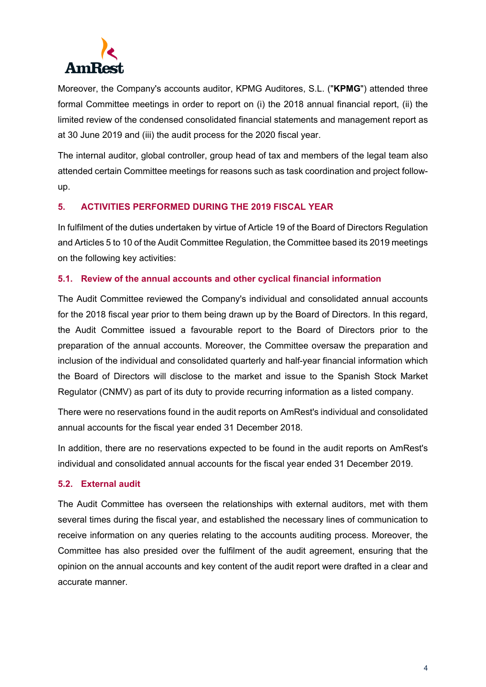

Moreover, the Company's accounts auditor, KPMG Auditores, S.L. ("**KPMG**") attended three formal Committee meetings in order to report on (i) the 2018 annual financial report, (ii) the limited review of the condensed consolidated financial statements and management report as at 30 June 2019 and (iii) the audit process for the 2020 fiscal year.

The internal auditor, global controller, group head of tax and members of the legal team also attended certain Committee meetings for reasons such as task coordination and project followup.

## **5. ACTIVITIES PERFORMED DURING THE 2019 FISCAL YEAR**

In fulfilment of the duties undertaken by virtue of Article 19 of the Board of Directors Regulation and Articles 5 to 10 of the Audit Committee Regulation, the Committee based its 2019 meetings on the following key activities:

#### **5.1. Review of the annual accounts and other cyclical financial information**

The Audit Committee reviewed the Company's individual and consolidated annual accounts for the 2018 fiscal year prior to them being drawn up by the Board of Directors. In this regard, the Audit Committee issued a favourable report to the Board of Directors prior to the preparation of the annual accounts. Moreover, the Committee oversaw the preparation and inclusion of the individual and consolidated quarterly and half-year financial information which the Board of Directors will disclose to the market and issue to the Spanish Stock Market Regulator (CNMV) as part of its duty to provide recurring information as a listed company.

There were no reservations found in the audit reports on AmRest's individual and consolidated annual accounts for the fiscal year ended 31 December 2018.

In addition, there are no reservations expected to be found in the audit reports on AmRest's individual and consolidated annual accounts for the fiscal year ended 31 December 2019.

#### **5.2. External audit**

The Audit Committee has overseen the relationships with external auditors, met with them several times during the fiscal year, and established the necessary lines of communication to receive information on any queries relating to the accounts auditing process. Moreover, the Committee has also presided over the fulfilment of the audit agreement, ensuring that the opinion on the annual accounts and key content of the audit report were drafted in a clear and accurate manner.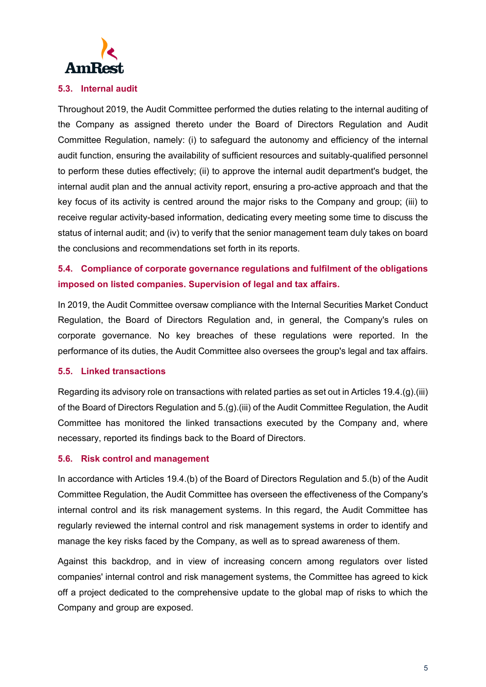

#### **5.3. Internal audit**

Throughout 2019, the Audit Committee performed the duties relating to the internal auditing of the Company as assigned thereto under the Board of Directors Regulation and Audit Committee Regulation, namely: (i) to safeguard the autonomy and efficiency of the internal audit function, ensuring the availability of sufficient resources and suitably-qualified personnel to perform these duties effectively; (ii) to approve the internal audit department's budget, the internal audit plan and the annual activity report, ensuring a pro-active approach and that the key focus of its activity is centred around the major risks to the Company and group; (iii) to receive regular activity-based information, dedicating every meeting some time to discuss the status of internal audit; and (iv) to verify that the senior management team duly takes on board the conclusions and recommendations set forth in its reports.

# **5.4. Compliance of corporate governance regulations and fulfilment of the obligations imposed on listed companies. Supervision of legal and tax affairs.**

In 2019, the Audit Committee oversaw compliance with the Internal Securities Market Conduct Regulation, the Board of Directors Regulation and, in general, the Company's rules on corporate governance. No key breaches of these regulations were reported. In the performance of its duties, the Audit Committee also oversees the group's legal and tax affairs.

#### **5.5. Linked transactions**

Regarding its advisory role on transactions with related parties as set out in Articles 19.4.(g).(iii) of the Board of Directors Regulation and 5.(g).(iii) of the Audit Committee Regulation, the Audit Committee has monitored the linked transactions executed by the Company and, where necessary, reported its findings back to the Board of Directors.

#### **5.6. Risk control and management**

In accordance with Articles 19.4.(b) of the Board of Directors Regulation and 5.(b) of the Audit Committee Regulation, the Audit Committee has overseen the effectiveness of the Company's internal control and its risk management systems. In this regard, the Audit Committee has regularly reviewed the internal control and risk management systems in order to identify and manage the key risks faced by the Company, as well as to spread awareness of them.

Against this backdrop, and in view of increasing concern among regulators over listed companies' internal control and risk management systems, the Committee has agreed to kick off a project dedicated to the comprehensive update to the global map of risks to which the Company and group are exposed.